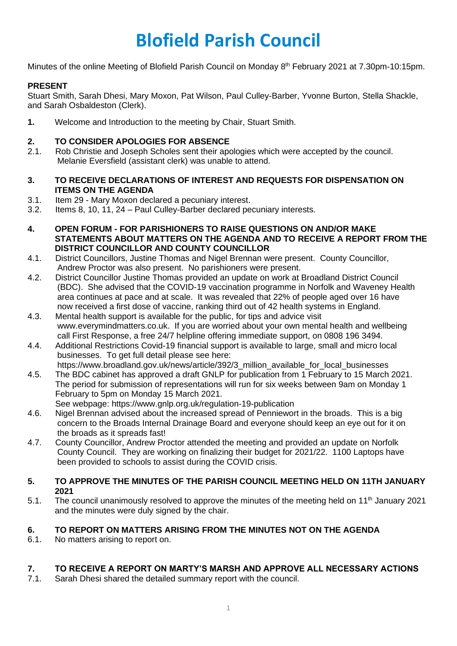# **Blofield Parish Council**

Minutes of the online Meeting of Blofield Parish Council on Monday 8<sup>th</sup> February 2021 at 7.30pm-10:15pm.

# **PRESENT**

Stuart Smith, Sarah Dhesi, Mary Moxon, Pat Wilson, Paul Culley-Barber, Yvonne Burton, Stella Shackle, and Sarah Osbaldeston (Clerk).

**1.** Welcome and Introduction to the meeting by Chair, Stuart Smith.

# **2. TO CONSIDER APOLOGIES FOR ABSENCE**

- 2.1. Rob Christie and Joseph Scholes sent their apologies which were accepted by the council. Melanie Eversfield (assistant clerk) was unable to attend.
- **3. TO RECEIVE DECLARATIONS OF INTEREST AND REQUESTS FOR DISPENSATION ON ITEMS ON THE AGENDA**
- 3.1. Item 29 Mary Moxon declared a pecuniary interest.
- 3.2. Items 8, 10, 11, 24 Paul Culley-Barber declared pecuniary interests.
- **4. OPEN FORUM - FOR PARISHIONERS TO RAISE QUESTIONS ON AND/OR MAKE STATEMENTS ABOUT MATTERS ON THE AGENDA AND TO RECEIVE A REPORT FROM THE DISTRICT COUNCILLOR AND COUNTY COUNCILLOR**
- 4.1. District Councillors, Justine Thomas and Nigel Brennan were present. County Councillor, Andrew Proctor was also present. No parishioners were present.
- 4.2. District Councillor Justine Thomas provided an update on work at Broadland District Council (BDC). She advised that the COVID-19 vaccination programme in Norfolk and Waveney Health area continues at pace and at scale. It was revealed that 22% of people aged over 16 have now received a first dose of vaccine, ranking third out of 42 health systems in England.
- 4.3. Mental health support is available for the public, for tips and advice visit [www.everymindmatters.co.uk.](http://www.everymindmatters.co.uk/) If you are worried about your own mental health and wellbeing call First Response, a free 24/7 helpline offering immediate support, on 0808 196 3494.
- 4.4. Additional Restrictions Covid-19 financial support is available to large, small and micro local businesses. To get full detail please see here: https://www.broadland.gov.uk/news/article/392/3 million available for local businesses
- 4.5. The BDC cabinet has approved a draft GNLP for publication from 1 February to 15 March 2021. The period for submission of representations will run for six weeks between 9am on Monday 1 February to 5pm on Monday 15 March 2021.
	- See webpage:<https://www.gnlp.org.uk/regulation-19-publication>
- 4.6. Nigel Brennan advised about the increased spread of Penniewort in the broads. This is a big concern to the Broads Internal Drainage Board and everyone should keep an eye out for it on the broads as it spreads fast!
- 4.7. County Councillor, Andrew Proctor attended the meeting and provided an update on Norfolk County Council. They are working on finalizing their budget for 2021/22. 1100 Laptops have been provided to schools to assist during the COVID crisis.

#### **5. TO APPROVE THE MINUTES OF THE PARISH COUNCIL MEETING HELD ON 11TH JANUARY 2021**

5.1. The council unanimously resolved to approve the minutes of the meeting held on 11<sup>th</sup> January 2021 and the minutes were duly signed by the chair.

# **6. TO REPORT ON MATTERS ARISING FROM THE MINUTES NOT ON THE AGENDA**

6.1. No matters arising to report on.

# **7. TO RECEIVE A REPORT ON MARTY'S MARSH AND APPROVE ALL NECESSARY ACTIONS**

7.1. Sarah Dhesi shared the detailed summary report with the council.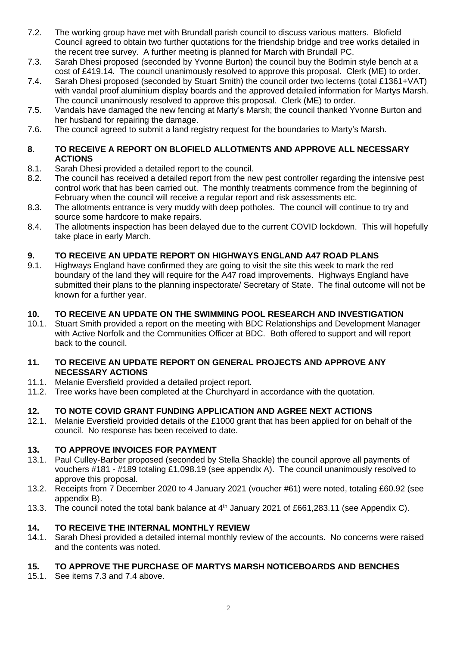- 7.2. The working group have met with Brundall parish council to discuss various matters. Blofield Council agreed to obtain two further quotations for the friendship bridge and tree works detailed in the recent tree survey. A further meeting is planned for March with Brundall PC.
- 7.3. Sarah Dhesi proposed (seconded by Yvonne Burton) the council buy the Bodmin style bench at a cost of £419.14. The council unanimously resolved to approve this proposal. Clerk (ME) to order.
- 7.4. Sarah Dhesi proposed (seconded by Stuart Smith) the council order two lecterns (total £1361+VAT) with vandal proof aluminium display boards and the approved detailed information for Martys Marsh. The council unanimously resolved to approve this proposal. Clerk (ME) to order.
- 7.5. Vandals have damaged the new fencing at Marty's Marsh; the council thanked Yvonne Burton and her husband for repairing the damage.
- 7.6. The council agreed to submit a land registry request for the boundaries to Marty's Marsh.

## **8. TO RECEIVE A REPORT ON BLOFIELD ALLOTMENTS AND APPROVE ALL NECESSARY ACTIONS**

- 8.1. Sarah Dhesi provided a detailed report to the council.
- 8.2. The council has received a detailed report from the new pest controller regarding the intensive pest control work that has been carried out. The monthly treatments commence from the beginning of February when the council will receive a regular report and risk assessments etc.
- 8.3. The allotments entrance is very muddy with deep potholes. The council will continue to try and source some hardcore to make repairs.
- 8.4. The allotments inspection has been delayed due to the current COVID lockdown. This will hopefully take place in early March.

# **9. TO RECEIVE AN UPDATE REPORT ON HIGHWAYS ENGLAND A47 ROAD PLANS**

9.1. Highways England have confirmed they are going to visit the site this week to mark the red boundary of the land they will require for the A47 road improvements. Highways England have submitted their plans to the planning inspectorate/ Secretary of State. The final outcome will not be known for a further year.

# **10. TO RECEIVE AN UPDATE ON THE SWIMMING POOL RESEARCH AND INVESTIGATION**

10.1. Stuart Smith provided a report on the meeting with BDC Relationships and Development Manager with Active Norfolk and the Communities Officer at BDC. Both offered to support and will report back to the council.

#### **11. TO RECEIVE AN UPDATE REPORT ON GENERAL PROJECTS AND APPROVE ANY NECESSARY ACTIONS**

- 11.1. Melanie Eversfield provided a detailed project report.
- 11.2. Tree works have been completed at the Churchyard in accordance with the quotation.

# **12. TO NOTE COVID GRANT FUNDING APPLICATION AND AGREE NEXT ACTIONS**

12.1. Melanie Eversfield provided details of the £1000 grant that has been applied for on behalf of the council. No response has been received to date.

# **13. TO APPROVE INVOICES FOR PAYMENT**

- 13.1. Paul Culley-Barber proposed (seconded by Stella Shackle) the council approve all payments of vouchers #181 - #189 totaling £1,098.19 (see appendix A). The council unanimously resolved to approve this proposal.
- 13.2. Receipts from 7 December 2020 to 4 January 2021 (voucher #61) were noted, totaling £60.92 (see appendix B).
- 13.3. The council noted the total bank balance at 4<sup>th</sup> January 2021 of £661,283.11 (see Appendix C).

# **14. TO RECEIVE THE INTERNAL MONTHLY REVIEW**

14.1. Sarah Dhesi provided a detailed internal monthly review of the accounts. No concerns were raised and the contents was noted.

# **15. TO APPROVE THE PURCHASE OF MARTYS MARSH NOTICEBOARDS AND BENCHES**

15.1. See items 7.3 and 7.4 above.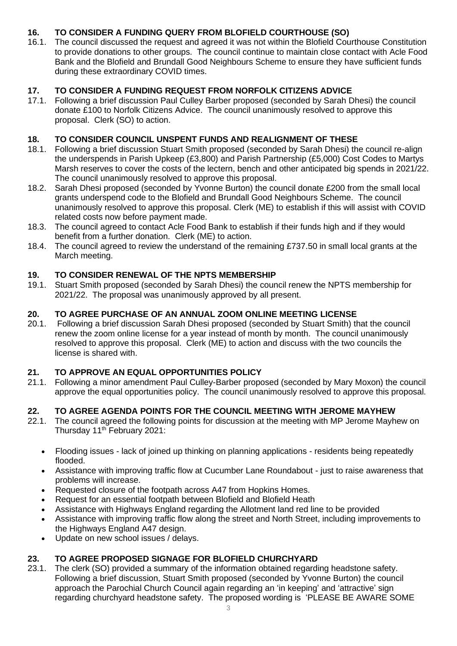# **16. TO CONSIDER A FUNDING QUERY FROM BLOFIELD COURTHOUSE (SO)**

16.1. The council discussed the request and agreed it was not within the Blofield Courthouse Constitution to provide donations to other groups. The council continue to maintain close contact with Acle Food Bank and the Blofield and Brundall Good Neighbours Scheme to ensure they have sufficient funds during these extraordinary COVID times.

# **17. TO CONSIDER A FUNDING REQUEST FROM NORFOLK CITIZENS ADVICE**

17.1. Following a brief discussion Paul Culley Barber proposed (seconded by Sarah Dhesi) the council donate £100 to Norfolk Citizens Advice. The council unanimously resolved to approve this proposal. Clerk (SO) to action.

# **18. TO CONSIDER COUNCIL UNSPENT FUNDS AND REALIGNMENT OF THESE**

- 18.1. Following a brief discussion Stuart Smith proposed (seconded by Sarah Dhesi) the council re-align the underspends in Parish Upkeep (£3,800) and Parish Partnership (£5,000) Cost Codes to Martys Marsh reserves to cover the costs of the lectern, bench and other anticipated big spends in 2021/22. The council unanimously resolved to approve this proposal.
- 18.2. Sarah Dhesi proposed (seconded by Yvonne Burton) the council donate £200 from the small local grants underspend code to the Blofield and Brundall Good Neighbours Scheme. The council unanimously resolved to approve this proposal. Clerk (ME) to establish if this will assist with COVID related costs now before payment made.
- 18.3. The council agreed to contact Acle Food Bank to establish if their funds high and if they would benefit from a further donation. Clerk (ME) to action.
- 18.4. The council agreed to review the understand of the remaining £737.50 in small local grants at the March meeting.

# **19. TO CONSIDER RENEWAL OF THE NPTS MEMBERSHIP**

19.1. Stuart Smith proposed (seconded by Sarah Dhesi) the council renew the NPTS membership for 2021/22. The proposal was unanimously approved by all present.

#### **20. TO AGREE PURCHASE OF AN ANNUAL ZOOM ONLINE MEETING LICENSE**

20.1. Following a brief discussion Sarah Dhesi proposed (seconded by Stuart Smith) that the council renew the zoom online license for a year instead of month by month. The council unanimously resolved to approve this proposal. Clerk (ME) to action and discuss with the two councils the license is shared with.

# **21. TO APPROVE AN EQUAL OPPORTUNITIES POLICY**

21.1. Following a minor amendment Paul Culley-Barber proposed (seconded by Mary Moxon) the council approve the equal opportunities policy. The council unanimously resolved to approve this proposal.

# **22. TO AGREE AGENDA POINTS FOR THE COUNCIL MEETING WITH JEROME MAYHEW**

- 22.1. The council agreed the following points for discussion at the meeting with MP Jerome Mayhew on Thursday 11<sup>th</sup> February 2021:
	- Flooding issues lack of joined up thinking on planning applications residents being repeatedly flooded.
	- Assistance with improving traffic flow at Cucumber Lane Roundabout just to raise awareness that problems will increase.
	- Requested closure of the footpath across A47 from Hopkins Homes.
	- Request for an essential footpath between Blofield and Blofield Heath
	- Assistance with Highways England regarding the Allotment land red line to be provided
	- Assistance with improving traffic flow along the street and North Street, including improvements to the Highways England A47 design.
	- Update on new school issues / delays.

# **23. TO AGREE PROPOSED SIGNAGE FOR BLOFIELD CHURCHYARD**

23.1. The clerk (SO) provided a summary of the information obtained regarding headstone safety. Following a brief discussion, Stuart Smith proposed (seconded by Yvonne Burton) the council approach the Parochial Church Council again regarding an 'in keeping' and 'attractive' sign regarding churchyard headstone safety. The proposed wording is 'PLEASE BE AWARE SOME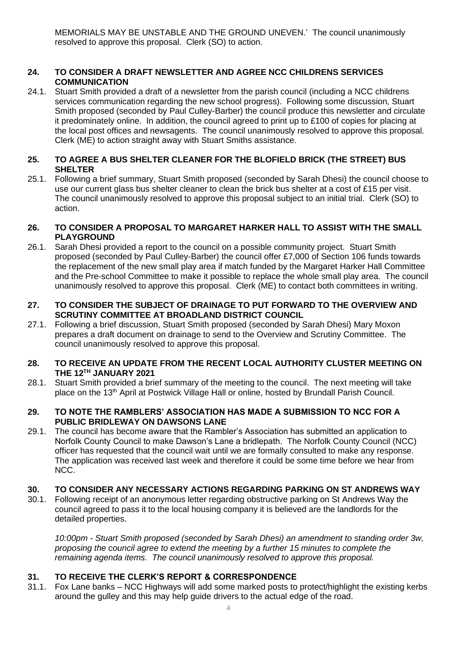MEMORIALS MAY BE UNSTABLE AND THE GROUND UNEVEN.' The council unanimously resolved to approve this proposal. Clerk (SO) to action.

# **24. TO CONSIDER A DRAFT NEWSLETTER AND AGREE NCC CHILDRENS SERVICES COMMUNICATION**

24.1. Stuart Smith provided a draft of a newsletter from the parish council (including a NCC childrens services communication regarding the new school progress). Following some discussion, Stuart Smith proposed (seconded by Paul Culley-Barber) the council produce this newsletter and circulate it predominately online. In addition, the council agreed to print up to £100 of copies for placing at the local post offices and newsagents. The council unanimously resolved to approve this proposal. Clerk (ME) to action straight away with Stuart Smiths assistance.

#### **25. TO AGREE A BUS SHELTER CLEANER FOR THE BLOFIELD BRICK (THE STREET) BUS SHELTER**

25.1. Following a brief summary, Stuart Smith proposed (seconded by Sarah Dhesi) the council choose to use our current glass bus shelter cleaner to clean the brick bus shelter at a cost of £15 per visit. The council unanimously resolved to approve this proposal subject to an initial trial. Clerk (SO) to action.

#### **26. TO CONSIDER A PROPOSAL TO MARGARET HARKER HALL TO ASSIST WITH THE SMALL PLAYGROUND**

26.1. Sarah Dhesi provided a report to the council on a possible community project. Stuart Smith proposed (seconded by Paul Culley-Barber) the council offer £7,000 of Section 106 funds towards the replacement of the new small play area if match funded by the Margaret Harker Hall Committee and the Pre-school Committee to make it possible to replace the whole small play area. The council unanimously resolved to approve this proposal. Clerk (ME) to contact both committees in writing.

#### **27. TO CONSIDER THE SUBJECT OF DRAINAGE TO PUT FORWARD TO THE OVERVIEW AND SCRUTINY COMMITTEE AT BROADLAND DISTRICT COUNCIL**

27.1. Following a brief discussion, Stuart Smith proposed (seconded by Sarah Dhesi) Mary Moxon prepares a draft document on drainage to send to the Overview and Scrutiny Committee. The council unanimously resolved to approve this proposal.

#### **28. TO RECEIVE AN UPDATE FROM THE RECENT LOCAL AUTHORITY CLUSTER MEETING ON THE 12TH JANUARY 2021**

28.1. Stuart Smith provided a brief summary of the meeting to the council. The next meeting will take place on the 13<sup>th</sup> April at Postwick Village Hall or online, hosted by Brundall Parish Council.

#### **29. TO NOTE THE RAMBLERS' ASSOCIATION HAS MADE A SUBMISSION TO NCC FOR A PUBLIC BRIDLEWAY ON DAWSONS LANE**

29.1. The council has become aware that the Rambler's Association has submitted an application to Norfolk County Council to make Dawson's Lane a bridlepath. The Norfolk County Council (NCC) officer has requested that the council wait until we are formally consulted to make any response. The application was received last week and therefore it could be some time before we hear from NCC.

# **30. TO CONSIDER ANY NECESSARY ACTIONS REGARDING PARKING ON ST ANDREWS WAY**

30.1. Following receipt of an anonymous letter regarding obstructive parking on St Andrews Way the council agreed to pass it to the local housing company it is believed are the landlords for the detailed properties.

*10:00pm - Stuart Smith proposed (seconded by Sarah Dhesi) an amendment to standing order 3w, proposing the council agree to extend the meeting by a further 15 minutes to complete the remaining agenda items. The council unanimously resolved to approve this proposal.* 

# **31. TO RECEIVE THE CLERK'S REPORT & CORRESPONDENCE**

31.1. Fox Lane banks – NCC Highways will add some marked posts to protect/highlight the existing kerbs around the gulley and this may help guide drivers to the actual edge of the road.